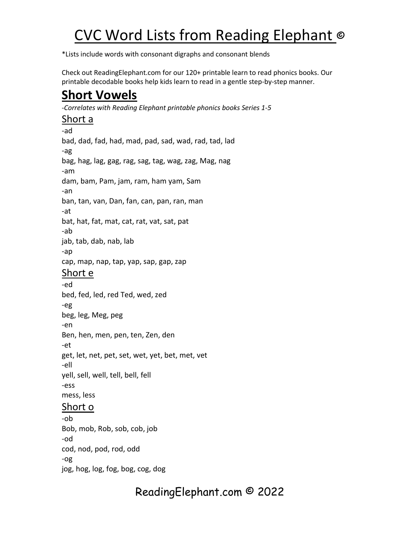\*Lists include words with consonant digraphs and consonant blends

Check out ReadingElephant.com for our 120+ printable learn to read phonics books. Our printable decodable books help kids learn to read in a gentle step-by-step manner.

## **Short Vowels**

*-Correlates with Reading Elephant printable phonics books Series 1-5*

#### Short a

-ad bad, dad, fad, had, mad, pad, sad, wad, rad, tad, lad -ag bag, hag, lag, gag, rag, sag, tag, wag, zag, Mag, nag -am dam, bam, Pam, jam, ram, ham yam, Sam -an ban, tan, van, Dan, fan, can, pan, ran, man -at bat, hat, fat, mat, cat, rat, vat, sat, pat -ab jab, tab, dab, nab, lab -ap cap, map, nap, tap, yap, sap, gap, zap Short e -ed bed, fed, led, red Ted, wed, zed -eg beg, leg, Meg, peg -en Ben, hen, men, pen, ten, Zen, den -et get, let, net, pet, set, wet, yet, bet, met, vet -ell yell, sell, well, tell, bell, fell -ess mess, less Short o -ob

Bob, mob, Rob, sob, cob, job -od cod, nod, pod, rod, odd -og jog, hog, log, fog, bog, cog, dog

ReadingElephant.com © 2022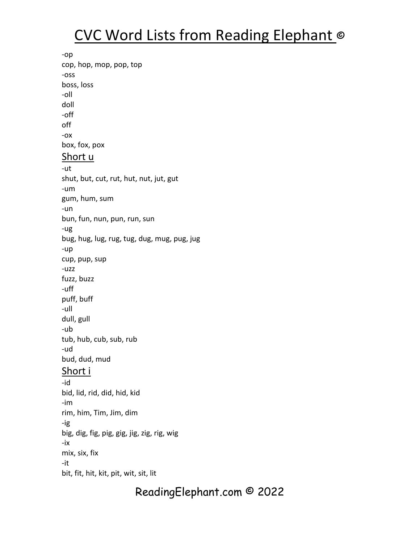-op cop, hop, mop, pop, top -oss boss, loss -oll doll -off off -ox box, fox, pox Short u -ut shut, but, cut, rut, hut, nut, jut, gut -um gum, hum, sum -un bun, fun, nun, pun, run, sun -ug bug, hug, lug, rug, tug, dug, mug, pug, jug -up cup, pup, sup -uzz fuzz, buzz -uff puff, buff -ull dull, gull -ub tub, hub, cub, sub, rub -ud bud, dud, mud Short i -id bid, lid, rid, did, hid, kid -im rim, him, Tim, Jim, dim -ig big, dig, fig, pig, gig, jig, zig, rig, wig -ix mix, six, fix -it bit, fit, hit, kit, pit, wit, sit, lit

### ReadingElephant.com © 2022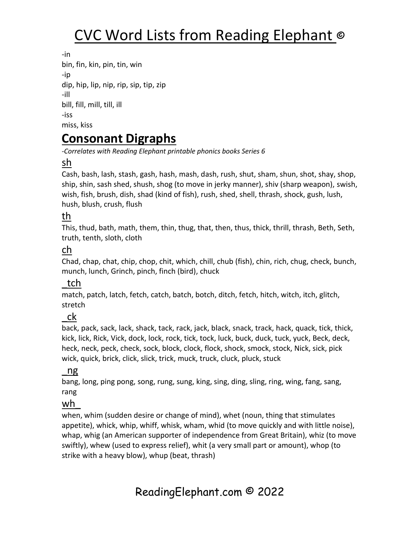-in bin, fin, kin, pin, tin, win -ip dip, hip, lip, nip, rip, sip, tip, zip -ill bill, fill, mill, till, ill -iss miss, kiss

### **Consonant Digraphs**

*-Correlates with Reading Elephant printable phonics books Series 6*

#### sh

Cash, bash, lash, stash, gash, hash, mash, dash, rush, shut, sham, shun, shot, shay, shop, ship, shin, sash shed, shush, shog (to move in jerky manner), shiv (sharp weapon), swish, wish, fish, brush, dish, shad (kind of fish), rush, shed, shell, thrash, shock, gush, lush, hush, blush, crush, flush

#### th

This, thud, bath, math, them, thin, thug, that, then, thus, thick, thrill, thrash, Beth, Seth, truth, tenth, sloth, cloth

#### ch

Chad, chap, chat, chip, chop, chit, which, chill, chub (fish), chin, rich, chug, check, bunch, munch, lunch, Grinch, pinch, finch (bird), chuck

#### \_tch

match, patch, latch, fetch, catch, batch, botch, ditch, fetch, hitch, witch, itch, glitch, stretch

#### \_ck

back, pack, sack, lack, shack, tack, rack, jack, black, snack, track, hack, quack, tick, thick, kick, lick, Rick, Vick, dock, lock, rock, tick, tock, luck, buck, duck, tuck, yuck, Beck, deck, heck, neck, peck, check, sock, block, clock, flock, shock, smock, stock, Nick, sick, pick wick, quick, brick, click, slick, trick, muck, truck, cluck, pluck, stuck

#### \_ng

bang, long, ping pong, song, rung, sung, king, sing, ding, sling, ring, wing, fang, sang, rang

#### wh\_

when, whim (sudden desire or change of mind), whet (noun, thing that stimulates appetite), whick, whip, whiff, whisk, wham, whid (to move quickly and with little noise), whap, whig (an American supporter of independence from Great Britain), whiz (to move swiftly), whew (used to express relief), whit (a very small part or amount), whop (to strike with a heavy blow), whup (beat, thrash)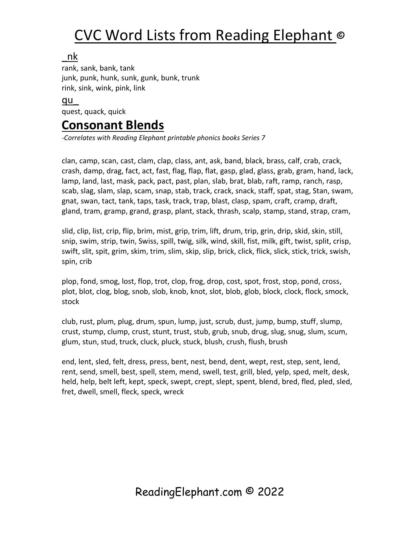#### \_nk

rank, sank, bank, tank junk, punk, hunk, sunk, gunk, bunk, trunk rink, sink, wink, pink, link

#### qu\_ quest, quack, quick

### **Consonant Blends**

*-Correlates with Reading Elephant printable phonics books Series 7*

clan, camp, scan, cast, clam, clap, class, ant, ask, band, black, brass, calf, crab, crack, crash, damp, drag, fact, act, fast, flag, flap, flat, gasp, glad, glass, grab, gram, hand, lack, lamp, land, last, mask, pack, pact, past, plan, slab, brat, blab, raft, ramp, ranch, rasp, scab, slag, slam, slap, scam, snap, stab, track, crack, snack, staff, spat, stag, Stan, swam, gnat, swan, tact, tank, taps, task, track, trap, blast, clasp, spam, craft, cramp, draft, gland, tram, gramp, grand, grasp, plant, stack, thrash, scalp, stamp, stand, strap, cram,

slid, clip, list, crip, flip, brim, mist, grip, trim, lift, drum, trip, grin, drip, skid, skin, still, snip, swim, strip, twin, Swiss, spill, twig, silk, wind, skill, fist, milk, gift, twist, split, crisp, swift, slit, spit, grim, skim, trim, slim, skip, slip, brick, click, flick, slick, stick, trick, swish, spin, crib

plop, fond, smog, lost, flop, trot, clop, frog, drop, cost, spot, frost, stop, pond, cross, plot, blot, clog, blog, snob, slob, knob, knot, slot, blob, glob, block, clock, flock, smock, stock

club, rust, plum, plug, drum, spun, lump, just, scrub, dust, jump, bump, stuff, slump, crust, stump, clump, crust, stunt, trust, stub, grub, snub, drug, slug, snug, slum, scum, glum, stun, stud, truck, cluck, pluck, stuck, blush, crush, flush, brush

end, lent, sled, felt, dress, press, bent, nest, bend, dent, wept, rest, step, sent, lend, rent, send, smell, best, spell, stem, mend, swell, test, grill, bled, yelp, sped, melt, desk, held, help, belt left, kept, speck, swept, crept, slept, spent, blend, bred, fled, pled, sled, fret, dwell, smell, fleck, speck, wreck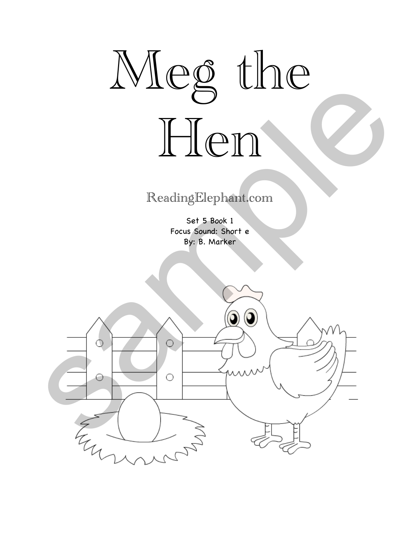

### ReadingElephant.com

Set 5 Book 1 Focus Sound: Short e By: B. Marker

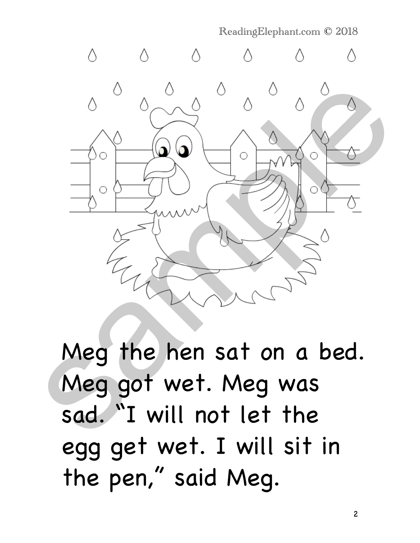$\Diamond$ Neg the hen sat on a bed.<br>
Sample of the henside of the saturday of the henside of the saturday of the saturday of the same saturday of the same saturday of the same saturday of the same saturday of the same saturday of th

ReadingElephant.com © 2018

Meg the hen sat on a bed. Meg got wet. Meg was sad. "I will not let the egg get wet. I will sit in the pen," said Meg.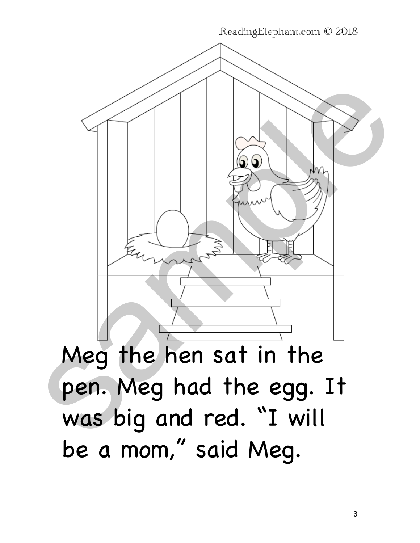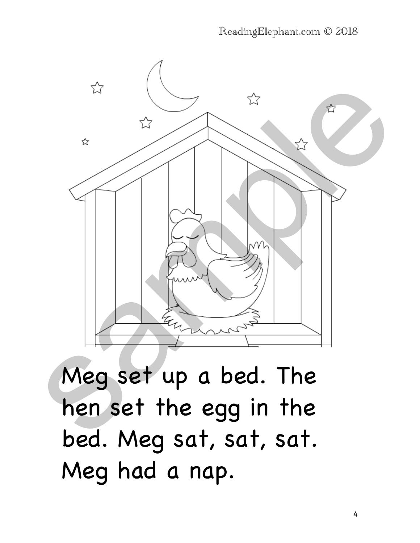

Meg set up a bed. The hen set the egg in the bed. Meg sat, sat, sat. Meg had a nap.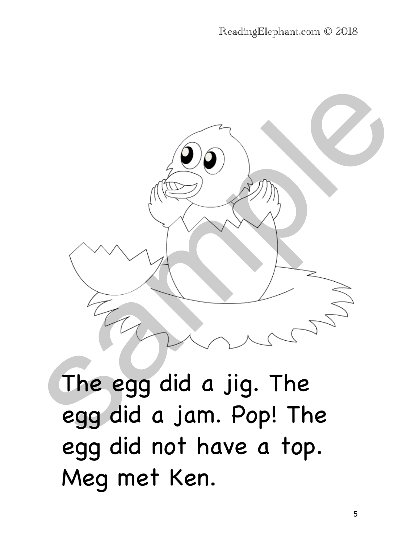

The egg did a jig. The egg did a jam. Pop! The egg did not have a top. Meg met Ken.